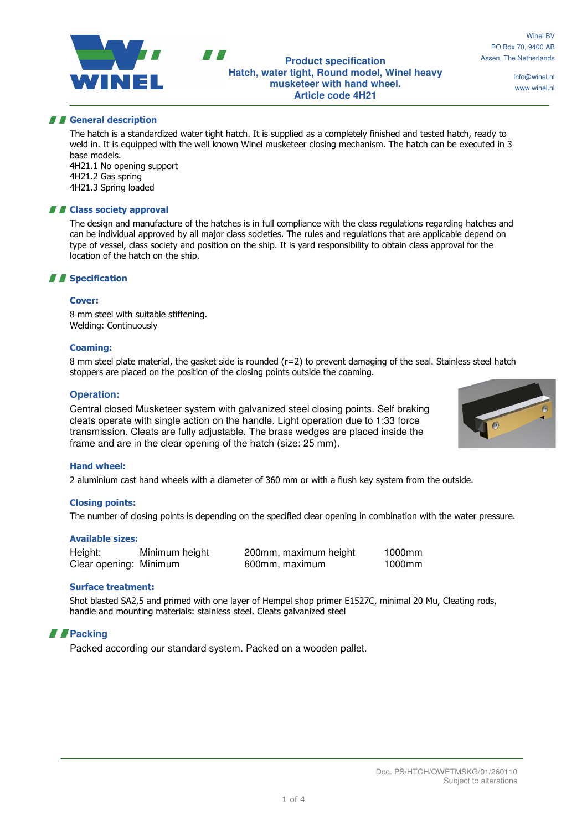### **Product specification Hatch, water tight, Round model, Winel heavy musketeer with hand wheel. Article code 4H21**

info@winel.nl www.winel.nl

## **A General description**

The hatch is a standardized water tight hatch. It is supplied as a completely finished and tested hatch, ready to weld in. It is equipped with the well known Winel musketeer closing mechanism. The hatch can be executed in 3 base models. 4H21.1 No opening support

4H21.2 Gas spring 4H21.3 Spring loaded

## **A Class society approval**

The design and manufacture of the hatches is in full compliance with the class regulations regarding hatches and can be individual approved by all major class societies. The rules and regulations that are applicable depend on type of vessel, class society and position on the ship. It is yard responsibility to obtain class approval for the location of the hatch on the ship.

# *II* Specification

#### Cover:

8 mm steel with suitable stiffening. Welding: Continuously

### Coaming:

8 mm steel plate material, the gasket side is rounded (r=2) to prevent damaging of the seal. Stainless steel hatch stoppers are placed on the position of the closing points outside the coaming.

## **Operation:**

Central closed Musketeer system with galvanized steel closing points. Self braking cleats operate with single action on the handle. Light operation due to 1:33 force transmission. Cleats are fully adjustable. The brass wedges are placed inside the frame and are in the clear opening of the hatch (size: 25 mm).

### Hand wheel:

2 aluminium cast hand wheels with a diameter of 360 mm or with a flush key system from the outside.

### Closing points:

The number of closing points is depending on the specified clear opening in combination with the water pressure.

### Available sizes:

| Height:                | Minimum height | 200mm, maximum height | 1000mm |
|------------------------|----------------|-----------------------|--------|
| Clear opening: Minimum |                | 600mm, maximum        | 1000mm |

### Surface treatment:

Shot blasted SA2,5 and primed with one layer of Hempel shop primer E1527C, minimal 20 Mu, Cleating rods, handle and mounting materials: stainless steel. Cleats galvanized steel

# *Packing*

Packed according our standard system. Packed on a wooden pallet.

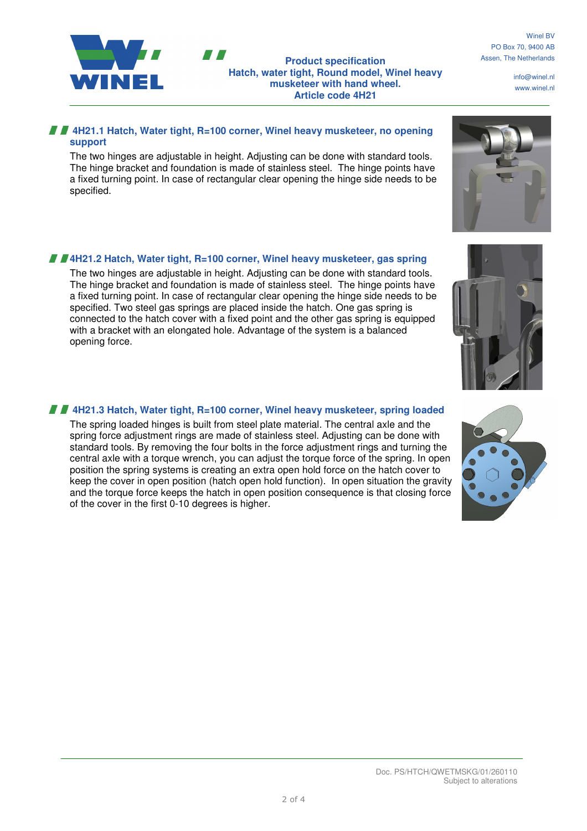



**Product specification Hatch, water tight, Round model, Winel heavy musketeer with hand wheel. Article code 4H21** 

info@winel.nl www.winel.nl

# **4H21.1 Hatch, Water tight, R=100 corner, Winel heavy musketeer, no opening support**

The two hinges are adjustable in height. Adjusting can be done with standard tools. The hinge bracket and foundation is made of stainless steel. The hinge points have a fixed turning point. In case of rectangular clear opening the hinge side needs to be specified.

# **4H21.2 Hatch, Water tight, R=100 corner, Winel heavy musketeer, gas spring**

The two hinges are adjustable in height. Adjusting can be done with standard tools. The hinge bracket and foundation is made of stainless steel. The hinge points have a fixed turning point. In case of rectangular clear opening the hinge side needs to be specified. Two steel gas springs are placed inside the hatch. One gas spring is connected to the hatch cover with a fixed point and the other gas spring is equipped with a bracket with an elongated hole. Advantage of the system is a balanced opening force.

# **4H21.3 Hatch, Water tight, R=100 corner, Winel heavy musketeer, spring loaded**

The spring loaded hinges is built from steel plate material. The central axle and the spring force adjustment rings are made of stainless steel. Adjusting can be done with standard tools. By removing the four bolts in the force adjustment rings and turning the central axle with a torque wrench, you can adjust the torque force of the spring. In open position the spring systems is creating an extra open hold force on the hatch cover to keep the cover in open position (hatch open hold function). In open situation the gravity and the torque force keeps the hatch in open position consequence is that closing force of the cover in the first 0-10 degrees is higher.





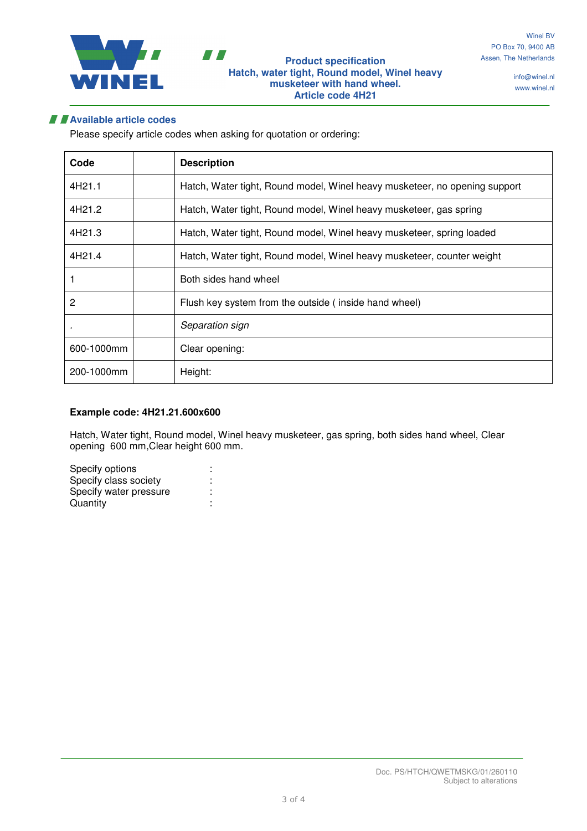

info@winel.nl www.winel.nl

# **Available article codes**

Please specify article codes when asking for quotation or ordering:

| Code       | <b>Description</b>                                                         |
|------------|----------------------------------------------------------------------------|
| 4H21.1     | Hatch, Water tight, Round model, Winel heavy musketeer, no opening support |
| 4H21.2     | Hatch, Water tight, Round model, Winel heavy musketeer, gas spring         |
| 4H21.3     | Hatch, Water tight, Round model, Winel heavy musketeer, spring loaded      |
| 4H21.4     | Hatch, Water tight, Round model, Winel heavy musketeer, counter weight     |
|            | Both sides hand wheel                                                      |
| 2          | Flush key system from the outside (inside hand wheel)                      |
|            | Separation sign                                                            |
| 600-1000mm | Clear opening:                                                             |
| 200-1000mm | Height:                                                                    |

# **Example code: 4H21.21.600x600**

Hatch, Water tight, Round model, Winel heavy musketeer, gas spring, both sides hand wheel, Clear opening 600 mm,Clear height 600 mm.

| Specify options        |  |
|------------------------|--|
| Specify class society  |  |
| Specify water pressure |  |
| Quantity               |  |
|                        |  |